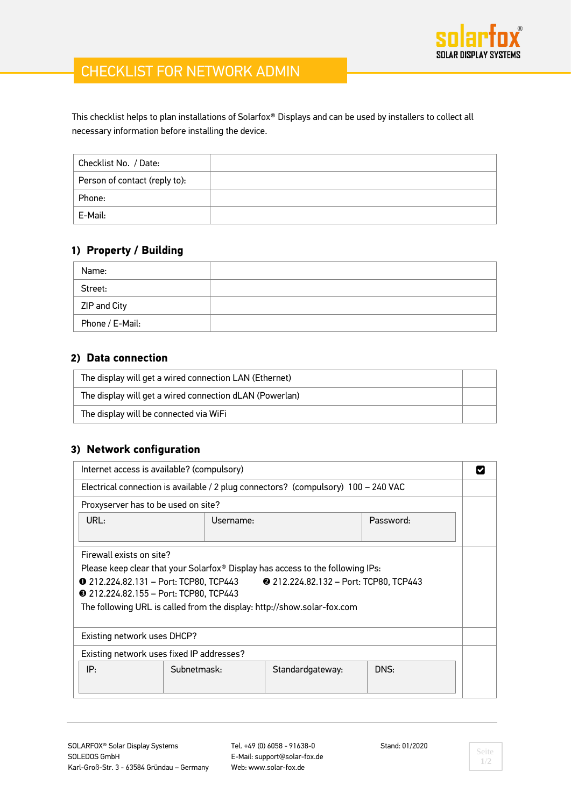

# CHECKLIST FOR NETWORK ADMIN

This checklist helps to plan installations of Solarfox® Displays and can be used by installers to collect all necessary information before installing the device.

| Checklist No. / Date:         |  |
|-------------------------------|--|
| Person of contact (reply to): |  |
| Phone:                        |  |
| E-Mail:                       |  |

## **1) Property / Building**

| Name:           |  |
|-----------------|--|
| Street:         |  |
| ZIP and City    |  |
| Phone / E-Mail: |  |

### **2) Data connection**

| The display will get a wired connection LAN (Ethernet)  |  |
|---------------------------------------------------------|--|
| The display will get a wired connection dLAN (Powerlan) |  |
| The display will be connected via WiFi                  |  |

## **3) Network configuration**

| Internet access is available? (compulsory)                                                                                                                                                                                                                                                                                                  |             |                  |           |  |
|---------------------------------------------------------------------------------------------------------------------------------------------------------------------------------------------------------------------------------------------------------------------------------------------------------------------------------------------|-------------|------------------|-----------|--|
| Electrical connection is available / 2 plug connectors? (compulsory) 100 - 240 VAC                                                                                                                                                                                                                                                          |             |                  |           |  |
| Proxyserver has to be used on site?                                                                                                                                                                                                                                                                                                         |             |                  |           |  |
| URL:                                                                                                                                                                                                                                                                                                                                        | Username:   |                  | Password: |  |
| Firewall exists on site?<br>Please keep clear that your Solarfox <sup>®</sup> Display has access to the following IPs:<br><b>0</b> 212.224.82.131 - Port: TCP80, TCP443<br>212.224.82.132 - Port: TCP80, TCP443<br><b>●</b> 212.224.82.155 - Port: TCP80, TCP443<br>The following URL is called from the display: http://show.solar-fox.com |             |                  |           |  |
| Existing network uses DHCP?                                                                                                                                                                                                                                                                                                                 |             |                  |           |  |
| Existing network uses fixed IP addresses?                                                                                                                                                                                                                                                                                                   |             |                  |           |  |
| IP:                                                                                                                                                                                                                                                                                                                                         | Subnetmask: | Standardgateway: | DNS:      |  |